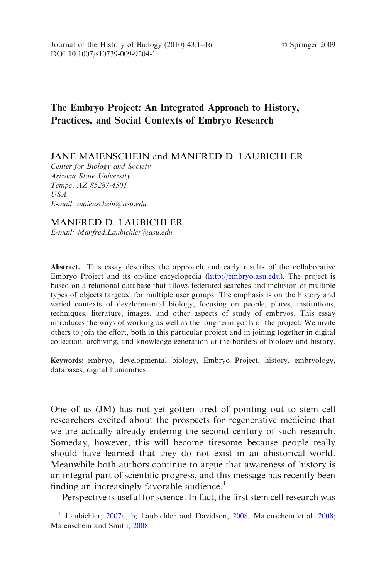# The Embryo Project: An Integrated Approach to History, Practices, and Social Contexts of Embryo Research

JANE MAIENSCHEIN and MANFRED D. LAUBICHLER

Center for Biology and Society Arizona State University Tempe, AZ 85287-4501 USA E-mail: maienschein@asu.edu

### MANFRED D. LAUBICHLER

E-mail: Manfred.Laubichler@asu.edu

Abstract. This essay describes the approach and early results of the collaborative Embryo Project and its on-line encyclopedia [\(http://embryo.asu.edu](http://embryo.asu.edu)). The project is based on a relational database that allows federated searches and inclusion of multiple types of objects targeted for multiple user groups. The emphasis is on the history and varied contexts of developmental biology, focusing on people, places, institutions, techniques, literature, images, and other aspects of study of embryos. This essay introduces the ways of working as well as the long-term goals of the project. We invite others to join the effort, both in this particular project and in joining together in digital collection, archiving, and knowledge generation at the borders of biology and history.

Keywords: embryo, developmental biology, Embryo Project, history, embryology, databases, digital humanities

One of us (JM) has not yet gotten tired of pointing out to stem cell researchers excited about the prospects for regenerative medicine that we are actually already entering the second century of such research. Someday, however, this will become tiresome because people really should have learned that they do not exist in an ahistorical world. Meanwhile both authors continue to argue that awareness of history is an integral part of scientific progress, and this message has recently been finding an increasingly favorable audience.<sup>1</sup>

Perspective is useful for science. In fact, the first stem cell research was

<sup>1</sup> Laubichler,  $2007a$ , [b;](#page-15-0) Laubichler and Davidson,  $2008$ ; Maienschein et al.  $2008$ ; Maienschein and Smith, [2008](#page-15-0).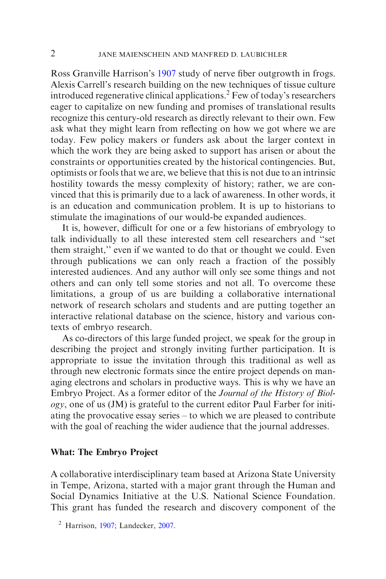Ross Granville Harrison's [1907](#page-15-0) study of nerve fiber outgrowth in frogs. Alexis Carrell's research building on the new techniques of tissue culture introduced regenerative clinical applications.<sup>2</sup> Few of today's researchers eager to capitalize on new funding and promises of translational results recognize this century-old research as directly relevant to their own. Few ask what they might learn from reflecting on how we got where we are today. Few policy makers or funders ask about the larger context in which the work they are being asked to support has arisen or about the constraints or opportunities created by the historical contingencies. But, optimists or fools that we are, we believe that this is not due to an intrinsic hostility towards the messy complexity of history; rather, we are convinced that this is primarily due to a lack of awareness. In other words, it is an education and communication problem. It is up to historians to stimulate the imaginations of our would-be expanded audiences.

It is, however, difficult for one or a few historians of embryology to talk individually to all these interested stem cell researchers and ''set them straight,'' even if we wanted to do that or thought we could. Even through publications we can only reach a fraction of the possibly interested audiences. And any author will only see some things and not others and can only tell some stories and not all. To overcome these limitations, a group of us are building a collaborative international network of research scholars and students and are putting together an interactive relational database on the science, history and various contexts of embryo research.

As co-directors of this large funded project, we speak for the group in describing the project and strongly inviting further participation. It is appropriate to issue the invitation through this traditional as well as through new electronic formats since the entire project depends on managing electrons and scholars in productive ways. This is why we have an Embryo Project. As a former editor of the Journal of the History of Biol $ogy$ , one of us (JM) is grateful to the current editor Paul Farber for initiating the provocative essay series – to which we are pleased to contribute with the goal of reaching the wider audience that the journal addresses.

# What: The Embryo Project

A collaborative interdisciplinary team based at Arizona State University in Tempe, Arizona, started with a major grant through the Human and Social Dynamics Initiative at the U.S. National Science Foundation. This grant has funded the research and discovery component of the

<sup>2</sup> Harrison, [1907;](#page-15-0) Landecker, [2007.](#page-15-0)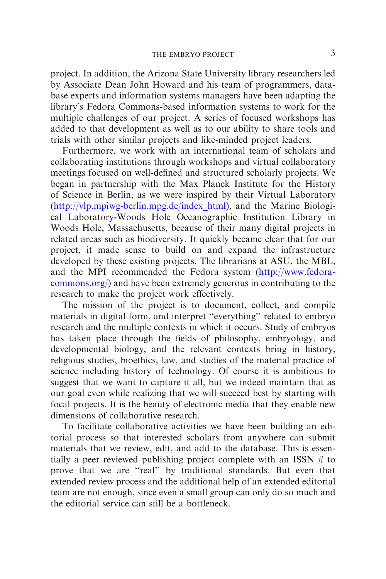project. In addition, the Arizona State University library researchers led by Associate Dean John Howard and his team of programmers, database experts and information systems managers have been adapting the library's Fedora Commons-based information systems to work for the multiple challenges of our project. A series of focused workshops has added to that development as well as to our ability to share tools and trials with other similar projects and like-minded project leaders.

Furthermore, we work with an international team of scholars and collaborating institutions through workshops and virtual collaboratory meetings focused on well-defined and structured scholarly projects. We began in partnership with the Max Planck Institute for the History of Science in Berlin, as we were inspired by their Virtual Laboratory [\(http://vlp.mpiwg-berlin.mpg.de/index\\_html\)](http://vlp.mpiwg-berlin.mpg.de/index_html), and the Marine Biological Laboratory-Woods Hole Oceanographic Institution Library in Woods Hole, Massachusetts, because of their many digital projects in related areas such as biodiversity. It quickly became clear that for our project, it made sense to build on and expand the infrastructure developed by these existing projects. The librarians at ASU, the MBL, and the MPI recommended the Fedora system [\(http://www.fedora](http://www.fedora-commons.org/)[commons.org/\)](http://www.fedora-commons.org/) and have been extremely generous in contributing to the research to make the project work effectively.

The mission of the project is to document, collect, and compile materials in digital form, and interpret ''everything'' related to embryo research and the multiple contexts in which it occurs. Study of embryos has taken place through the fields of philosophy, embryology, and developmental biology, and the relevant contexts bring in history, religious studies, bioethics, law, and studies of the material practice of science including history of technology. Of course it is ambitious to suggest that we want to capture it all, but we indeed maintain that as our goal even while realizing that we will succeed best by starting with focal projects. It is the beauty of electronic media that they enable new dimensions of collaborative research.

To facilitate collaborative activities we have been building an editorial process so that interested scholars from anywhere can submit materials that we review, edit, and add to the database. This is essentially a peer reviewed publishing project complete with an ISSN  $#$  to prove that we are ''real'' by traditional standards. But even that extended review process and the additional help of an extended editorial team are not enough, since even a small group can only do so much and the editorial service can still be a bottleneck.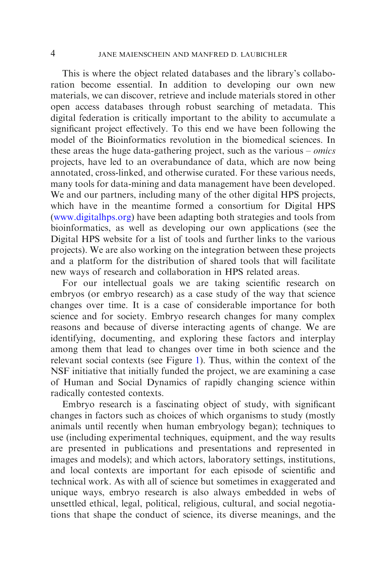4 JANE MAIENSCHEIN AND MANFRED D. LAUBICHLER

This is where the object related databases and the library's collaboration become essential. In addition to developing our own new materials, we can discover, retrieve and include materials stored in other open access databases through robust searching of metadata. This digital federation is critically important to the ability to accumulate a significant project effectively. To this end we have been following the model of the Bioinformatics revolution in the biomedical sciences. In these areas the huge data-gathering project, such as the various – omics projects, have led to an overabundance of data, which are now being annotated, cross-linked, and otherwise curated. For these various needs, many tools for data-mining and data management have been developed. We and our partners, including many of the other digital HPS projects, which have in the meantime formed a consortium for Digital HPS [\(www.digitalhps.org](http://www.digitalhps.org)) have been adapting both strategies and tools from bioinformatics, as well as developing our own applications (see the Digital HPS website for a list of tools and further links to the various projects). We are also working on the integration between these projects and a platform for the distribution of shared tools that will facilitate new ways of research and collaboration in HPS related areas.

For our intellectual goals we are taking scientific research on embryos (or embryo research) as a case study of the way that science changes over time. It is a case of considerable importance for both science and for society. Embryo research changes for many complex reasons and because of diverse interacting agents of change. We are identifying, documenting, and exploring these factors and interplay among them that lead to changes over time in both science and the relevant social contexts (see Figure [1\)](#page-4-0). Thus, within the context of the NSF initiative that initially funded the project, we are examining a case of Human and Social Dynamics of rapidly changing science within radically contested contexts.

Embryo research is a fascinating object of study, with significant changes in factors such as choices of which organisms to study (mostly animals until recently when human embryology began); techniques to use (including experimental techniques, equipment, and the way results are presented in publications and presentations and represented in images and models); and which actors, laboratory settings, institutions, and local contexts are important for each episode of scientific and technical work. As with all of science but sometimes in exaggerated and unique ways, embryo research is also always embedded in webs of unsettled ethical, legal, political, religious, cultural, and social negotiations that shape the conduct of science, its diverse meanings, and the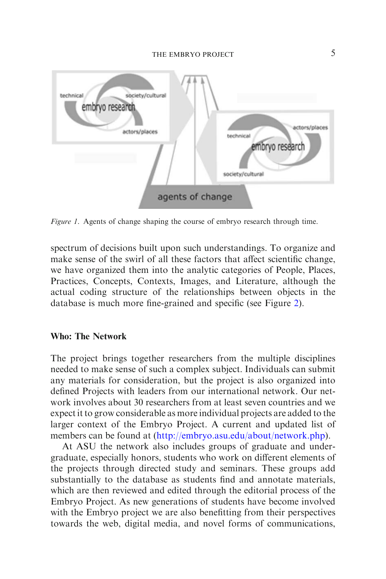<span id="page-4-0"></span>

Figure 1. Agents of change shaping the course of embryo research through time.

spectrum of decisions built upon such understandings. To organize and make sense of the swirl of all these factors that affect scientific change, we have organized them into the analytic categories of People, Places, Practices, Concepts, Contexts, Images, and Literature, although the actual coding structure of the relationships between objects in the database is much more fine-grained and specific (see Figure [2\)](#page-5-0).

### Who: The Network

The project brings together researchers from the multiple disciplines needed to make sense of such a complex subject. Individuals can submit any materials for consideration, but the project is also organized into defined Projects with leaders from our international network. Our network involves about 30 researchers from at least seven countries and we expect it to grow considerable as more individual projects are added to the larger context of the Embryo Project. A current and updated list of members can be found at ([http://embryo.asu.edu/about/network.php\)](http://embryo.asu.edu/about/network.php).

At ASU the network also includes groups of graduate and undergraduate, especially honors, students who work on different elements of the projects through directed study and seminars. These groups add substantially to the database as students find and annotate materials, which are then reviewed and edited through the editorial process of the Embryo Project. As new generations of students have become involved with the Embryo project we are also benefitting from their perspectives towards the web, digital media, and novel forms of communications,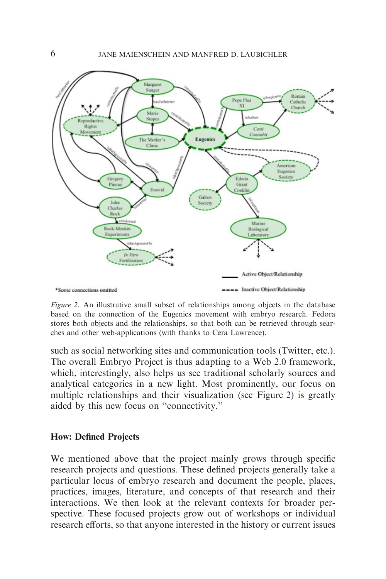

Figure 2. An illustrative small subset of relationships among objects in the database based on the connection of the Eugenics movement with embryo research. Fedora stores both objects and the relationships, so that both can be retrieved through searches and other web-applications (with thanks to Cera Lawrence).

such as social networking sites and communication tools (Twitter, etc.). The overall Embryo Project is thus adapting to a Web 2.0 framework, which, interestingly, also helps us see traditional scholarly sources and analytical categories in a new light. Most prominently, our focus on multiple relationships and their visualization (see Figure 2) is greatly aided by this new focus on ''connectivity.''

### How: Defined Projects

We mentioned above that the project mainly grows through specific research projects and questions. These defined projects generally take a particular locus of embryo research and document the people, places, practices, images, literature, and concepts of that research and their interactions. We then look at the relevant contexts for broader perspective. These focused projects grow out of workshops or individual research efforts, so that anyone interested in the history or current issues

<span id="page-5-0"></span>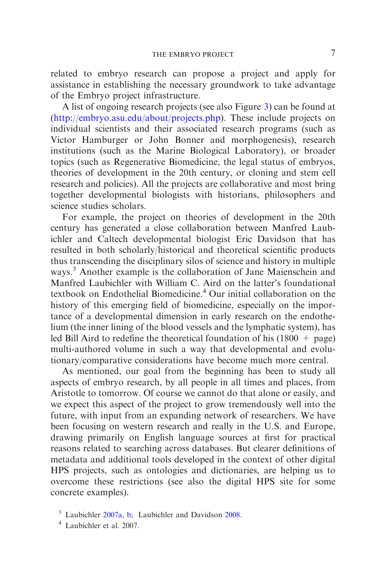related to embryo research can propose a project and apply for assistance in establishing the necessary groundwork to take advantage of the Embryo project infrastructure.

A list of ongoing research projects (see also Figure [3\)](#page-7-0) can be found at [\(http://embryo.asu.edu/about/projects.php](http://embryo.asu.edu/about/projects.php)). These include projects on individual scientists and their associated research programs (such as Victor Hamburger or John Bonner and morphogenesis), research institutions (such as the Marine Biological Laboratory), or broader topics (such as Regenerative Biomedicine, the legal status of embryos, theories of development in the 20th century, or cloning and stem cell research and policies). All the projects are collaborative and most bring together developmental biologists with historians, philosophers and science studies scholars.

For example, the project on theories of development in the 20th century has generated a close collaboration between Manfred Laubichler and Caltech developmental biologist Eric Davidson that has resulted in both scholarly/historical and theoretical scientific products thus transcending the disciplinary silos of science and history in multiple ways.3 Another example is the collaboration of Jane Maienschein and Manfred Laubichler with William C. Aird on the latter's foundational textbook on Endothelial Biomedicine.<sup>4</sup> Our initial collaboration on the history of this emerging field of biomedicine, especially on the importance of a developmental dimension in early research on the endothelium (the inner lining of the blood vessels and the lymphatic system), has led Bill Aird to redefine the theoretical foundation of his  $(1800 + page)$ multi-authored volume in such a way that developmental and evolutionary/comparative considerations have become much more central.

As mentioned, our goal from the beginning has been to study all aspects of embryo research, by all people in all times and places, from Aristotle to tomorrow. Of course we cannot do that alone or easily, and we expect this aspect of the project to grow tremendously well into the future, with input from an expanding network of researchers. We have been focusing on western research and really in the U.S. and Europe, drawing primarily on English language sources at first for practical reasons related to searching across databases. But clearer definitions of metadata and additional tools developed in the context of other digital HPS projects, such as ontologies and dictionaries, are helping us to overcome these restrictions (see also the digital HPS site for some concrete examples).

<sup>3</sup> Laubichler [2007a,](#page-15-0) [b;](#page-15-0) Laubichler and Davidson [2008](#page-15-0).

<sup>4</sup> Laubichler et al. 2007.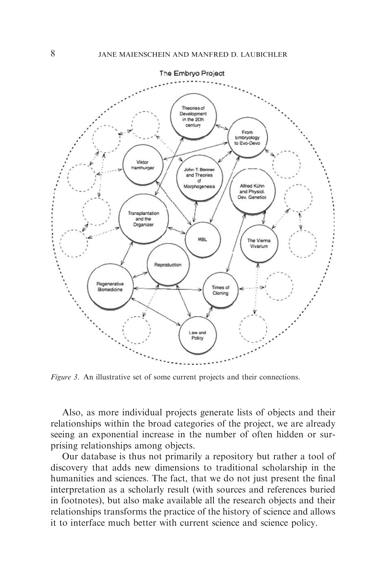<span id="page-7-0"></span>

Figure 3. An illustrative set of some current projects and their connections.

Also, as more individual projects generate lists of objects and their relationships within the broad categories of the project, we are already seeing an exponential increase in the number of often hidden or surprising relationships among objects.

Our database is thus not primarily a repository but rather a tool of discovery that adds new dimensions to traditional scholarship in the humanities and sciences. The fact, that we do not just present the final interpretation as a scholarly result (with sources and references buried in footnotes), but also make available all the research objects and their relationships transforms the practice of the history of science and allows it to interface much better with current science and science policy.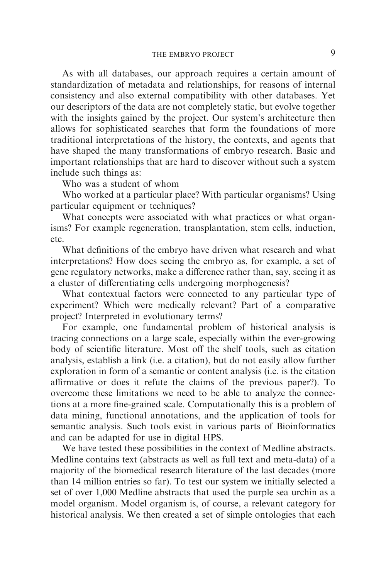As with all databases, our approach requires a certain amount of standardization of metadata and relationships, for reasons of internal consistency and also external compatibility with other databases. Yet our descriptors of the data are not completely static, but evolve together with the insights gained by the project. Our system's architecture then allows for sophisticated searches that form the foundations of more traditional interpretations of the history, the contexts, and agents that have shaped the many transformations of embryo research. Basic and important relationships that are hard to discover without such a system include such things as:

Who was a student of whom

Who worked at a particular place? With particular organisms? Using particular equipment or techniques?

What concepts were associated with what practices or what organisms? For example regeneration, transplantation, stem cells, induction, etc.

What definitions of the embryo have driven what research and what interpretations? How does seeing the embryo as, for example, a set of gene regulatory networks, make a difference rather than, say, seeing it as a cluster of differentiating cells undergoing morphogenesis?

What contextual factors were connected to any particular type of experiment? Which were medically relevant? Part of a comparative project? Interpreted in evolutionary terms?

For example, one fundamental problem of historical analysis is tracing connections on a large scale, especially within the ever-growing body of scientific literature. Most off the shelf tools, such as citation analysis, establish a link (i.e. a citation), but do not easily allow further exploration in form of a semantic or content analysis (i.e. is the citation affirmative or does it refute the claims of the previous paper?). To overcome these limitations we need to be able to analyze the connections at a more fine-grained scale. Computationally this is a problem of data mining, functional annotations, and the application of tools for semantic analysis. Such tools exist in various parts of Bioinformatics and can be adapted for use in digital HPS.

We have tested these possibilities in the context of Medline abstracts. Medline contains text (abstracts as well as full text and meta-data) of a majority of the biomedical research literature of the last decades (more than 14 million entries so far). To test our system we initially selected a set of over 1,000 Medline abstracts that used the purple sea urchin as a model organism. Model organism is, of course, a relevant category for historical analysis. We then created a set of simple ontologies that each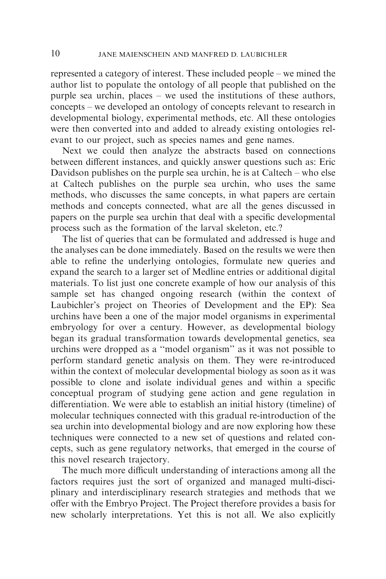represented a category of interest. These included people – we mined the author list to populate the ontology of all people that published on the purple sea urchin, places – we used the institutions of these authors, concepts – we developed an ontology of concepts relevant to research in developmental biology, experimental methods, etc. All these ontologies were then converted into and added to already existing ontologies relevant to our project, such as species names and gene names.

Next we could then analyze the abstracts based on connections between different instances, and quickly answer questions such as: Eric Davidson publishes on the purple sea urchin, he is at Caltech – who else at Caltech publishes on the purple sea urchin, who uses the same methods, who discusses the same concepts, in what papers are certain methods and concepts connected, what are all the genes discussed in papers on the purple sea urchin that deal with a specific developmental process such as the formation of the larval skeleton, etc.?

The list of queries that can be formulated and addressed is huge and the analyses can be done immediately. Based on the results we were then able to refine the underlying ontologies, formulate new queries and expand the search to a larger set of Medline entries or additional digital materials. To list just one concrete example of how our analysis of this sample set has changed ongoing research (within the context of Laubichler's project on Theories of Development and the EP): Sea urchins have been a one of the major model organisms in experimental embryology for over a century. However, as developmental biology began its gradual transformation towards developmental genetics, sea urchins were dropped as a ''model organism'' as it was not possible to perform standard genetic analysis on them. They were re-introduced within the context of molecular developmental biology as soon as it was possible to clone and isolate individual genes and within a specific conceptual program of studying gene action and gene regulation in differentiation. We were able to establish an initial history (timeline) of molecular techniques connected with this gradual re-introduction of the sea urchin into developmental biology and are now exploring how these techniques were connected to a new set of questions and related concepts, such as gene regulatory networks, that emerged in the course of this novel research trajectory.

The much more difficult understanding of interactions among all the factors requires just the sort of organized and managed multi-disciplinary and interdisciplinary research strategies and methods that we offer with the Embryo Project. The Project therefore provides a basis for new scholarly interpretations. Yet this is not all. We also explicitly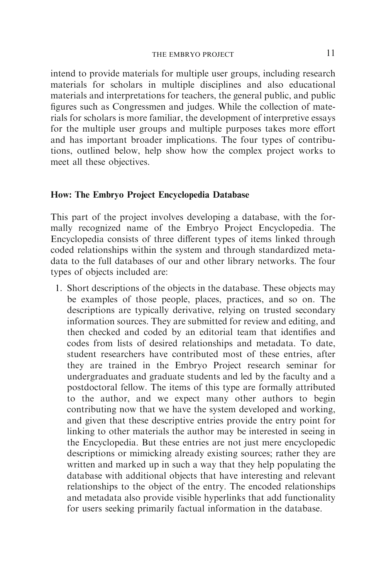intend to provide materials for multiple user groups, including research materials for scholars in multiple disciplines and also educational materials and interpretations for teachers, the general public, and public figures such as Congressmen and judges. While the collection of materials for scholars is more familiar, the development of interpretive essays for the multiple user groups and multiple purposes takes more effort and has important broader implications. The four types of contributions, outlined below, help show how the complex project works to meet all these objectives.

# How: The Embryo Project Encyclopedia Database

This part of the project involves developing a database, with the formally recognized name of the Embryo Project Encyclopedia. The Encyclopedia consists of three different types of items linked through coded relationships within the system and through standardized metadata to the full databases of our and other library networks. The four types of objects included are:

1. Short descriptions of the objects in the database. These objects may be examples of those people, places, practices, and so on. The descriptions are typically derivative, relying on trusted secondary information sources. They are submitted for review and editing, and then checked and coded by an editorial team that identifies and codes from lists of desired relationships and metadata. To date, student researchers have contributed most of these entries, after they are trained in the Embryo Project research seminar for undergraduates and graduate students and led by the faculty and a postdoctoral fellow. The items of this type are formally attributed to the author, and we expect many other authors to begin contributing now that we have the system developed and working, and given that these descriptive entries provide the entry point for linking to other materials the author may be interested in seeing in the Encyclopedia. But these entries are not just mere encyclopedic descriptions or mimicking already existing sources; rather they are written and marked up in such a way that they help populating the database with additional objects that have interesting and relevant relationships to the object of the entry. The encoded relationships and metadata also provide visible hyperlinks that add functionality for users seeking primarily factual information in the database.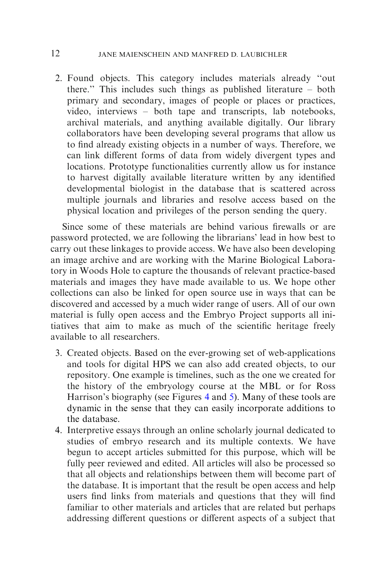2. Found objects. This category includes materials already ''out there.'' This includes such things as published literature – both primary and secondary, images of people or places or practices, video, interviews – both tape and transcripts, lab notebooks, archival materials, and anything available digitally. Our library collaborators have been developing several programs that allow us to find already existing objects in a number of ways. Therefore, we can link different forms of data from widely divergent types and locations. Prototype functionalities currently allow us for instance to harvest digitally available literature written by any identified developmental biologist in the database that is scattered across multiple journals and libraries and resolve access based on the physical location and privileges of the person sending the query.

Since some of these materials are behind various firewalls or are password protected, we are following the librarians' lead in how best to carry out these linkages to provide access. We have also been developing an image archive and are working with the Marine Biological Laboratory in Woods Hole to capture the thousands of relevant practice-based materials and images they have made available to us. We hope other collections can also be linked for open source use in ways that can be discovered and accessed by a much wider range of users. All of our own material is fully open access and the Embryo Project supports all initiatives that aim to make as much of the scientific heritage freely available to all researchers.

- 3. Created objects. Based on the ever-growing set of web-applications and tools for digital HPS we can also add created objects, to our repository. One example is timelines, such as the one we created for the history of the embryology course at the MBL or for Ross Harrison's biography (see Figures [4](#page-12-0) and [5\)](#page-13-0). Many of these tools are dynamic in the sense that they can easily incorporate additions to the database.
- 4. Interpretive essays through an online scholarly journal dedicated to studies of embryo research and its multiple contexts. We have begun to accept articles submitted for this purpose, which will be fully peer reviewed and edited. All articles will also be processed so that all objects and relationships between them will become part of the database. It is important that the result be open access and help users find links from materials and questions that they will find familiar to other materials and articles that are related but perhaps addressing different questions or different aspects of a subject that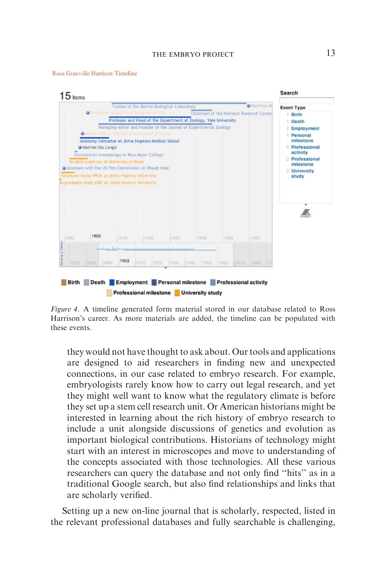#### <span id="page-12-0"></span>**Ross Granville Harrison Timeline**

|       |                     |      | Trustee of the Marine Biological Laboratory                                                          |      |      |      |      |                                           |      |      | <b>O</b> Harrison DI | <b>Event Type</b>           |
|-------|---------------------|------|------------------------------------------------------------------------------------------------------|------|------|------|------|-------------------------------------------|------|------|----------------------|-----------------------------|
|       | ۵                   |      | <b>Romested to Assistant</b>                                                                         |      |      |      |      | Chairman of the National Research Council |      |      |                      | 1 Birth                     |
|       |                     |      | Professor and Head of the Department of Zoology, Yale University                                     |      |      |      |      |                                           |      |      |                      | 1 Death                     |
|       |                     |      | Managing editor and founder of the Journal of Experimental Zoology                                   |      |      |      |      |                                           |      |      |                      | <b>2 Employment</b>         |
|       |                     |      | O Ariouts Born's related of embloyees gratting<br>Anatomy Instructor at Johns Hopkins Medical School |      |      |      |      |                                           |      |      |                      | 1 Personal<br>milestone     |
|       | O Marries Ida Lange |      |                                                                                                      |      |      |      |      |                                           |      |      |                      | <b>Professional</b>         |
|       |                     |      | Lectured on morphology at Bryn Mawr College                                                          |      |      |      |      |                                           |      |      |                      | activity                    |
|       |                     |      | Studied medicine at University of Bonn                                                               |      |      |      |      |                                           |      |      |                      | 2 Professional<br>milestone |
|       |                     |      | Assistant with the US Fish Commission at Woods Hole                                                  |      |      |      |      |                                           |      |      |                      | <b>3</b> University         |
|       |                     |      | Graduate study (PhD) at Johns Hopkins University                                                     |      |      |      |      |                                           |      |      |                      | study                       |
|       |                     |      | ergraduate study (AB) at Johns Hopkins University                                                    |      |      |      |      |                                           |      |      |                      |                             |
|       |                     |      |                                                                                                      |      |      |      |      |                                           |      |      |                      |                             |
|       |                     |      |                                                                                                      |      |      |      |      |                                           |      |      |                      |                             |
|       |                     |      |                                                                                                      |      |      |      |      |                                           |      |      |                      |                             |
|       |                     |      |                                                                                                      |      |      |      |      |                                           |      |      |                      |                             |
|       |                     |      |                                                                                                      |      |      |      |      |                                           |      |      |                      |                             |
|       |                     |      |                                                                                                      |      |      |      |      |                                           |      |      |                      |                             |
|       |                     |      |                                                                                                      |      |      |      |      |                                           |      |      |                      |                             |
|       | 1900                |      |                                                                                                      |      |      |      |      |                                           |      |      |                      |                             |
|       |                     |      | 1910                                                                                                 | 1920 |      | 1930 |      | 1940                                      | 1950 |      | 1960                 |                             |
|       |                     |      |                                                                                                      |      |      |      |      |                                           |      |      |                      |                             |
| 1890  |                     |      |                                                                                                      |      |      |      |      |                                           |      |      |                      |                             |
| 11870 | 1980                | 1890 | 1900                                                                                                 | 1910 | 1920 | 1930 | 1940 | 1950                                      | 1960 | 1970 | 1980                 |                             |
|       |                     |      |                                                                                                      |      |      |      |      |                                           |      |      |                      |                             |

Figure 4. A timeline generated form material stored in our database related to Ross Harrison's career. As more materials are added, the timeline can be populated with these events.

they would not have thought to ask about. Our tools and applications are designed to aid researchers in finding new and unexpected connections, in our case related to embryo research. For example, embryologists rarely know how to carry out legal research, and yet they might well want to know what the regulatory climate is before they set up a stem cell research unit. Or American historians might be interested in learning about the rich history of embryo research to include a unit alongside discussions of genetics and evolution as important biological contributions. Historians of technology might start with an interest in microscopes and move to understanding of the concepts associated with those technologies. All these various researchers can query the database and not only find ''hits'' as in a traditional Google search, but also find relationships and links that are scholarly verified.

Setting up a new on-line journal that is scholarly, respected, listed in the relevant professional databases and fully searchable is challenging,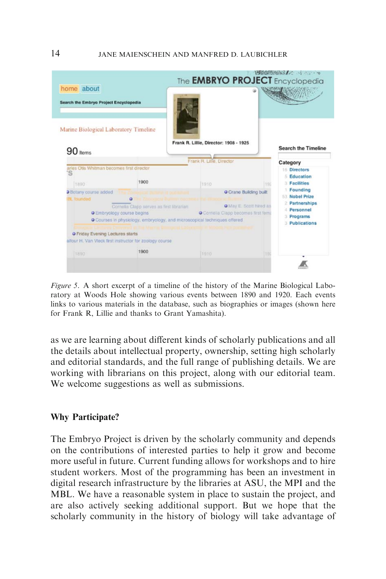<span id="page-13-0"></span>

Figure 5. A short excerpt of a timeline of the history of the Marine Biological Laboratory at Woods Hole showing various events between 1890 and 1920. Each events links to various materials in the database, such as biographies or images (shown here for Frank R, Lillie and thanks to Grant Yamashita).

as we are learning about different kinds of scholarly publications and all the details about intellectual property, ownership, setting high scholarly and editorial standards, and the full range of publishing details. We are working with librarians on this project, along with our editorial team. We welcome suggestions as well as submissions.

# Why Participate?

The Embryo Project is driven by the scholarly community and depends on the contributions of interested parties to help it grow and become more useful in future. Current funding allows for workshops and to hire student workers. Most of the programming has been an investment in digital research infrastructure by the libraries at ASU, the MPI and the MBL. We have a reasonable system in place to sustain the project, and are also actively seeking additional support. But we hope that the scholarly community in the history of biology will take advantage of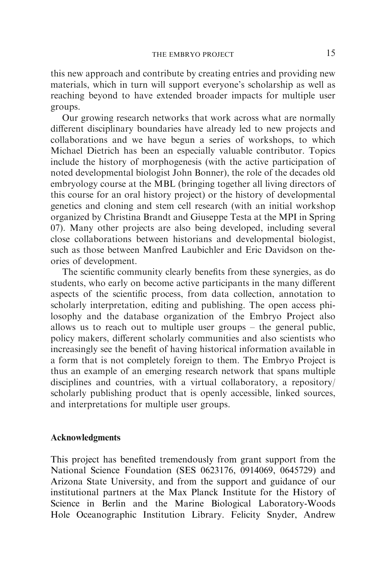this new approach and contribute by creating entries and providing new materials, which in turn will support everyone's scholarship as well as reaching beyond to have extended broader impacts for multiple user groups.

Our growing research networks that work across what are normally different disciplinary boundaries have already led to new projects and collaborations and we have begun a series of workshops, to which Michael Dietrich has been an especially valuable contributor. Topics include the history of morphogenesis (with the active participation of noted developmental biologist John Bonner), the role of the decades old embryology course at the MBL (bringing together all living directors of this course for an oral history project) or the history of developmental genetics and cloning and stem cell research (with an initial workshop organized by Christina Brandt and Giuseppe Testa at the MPI in Spring 07). Many other projects are also being developed, including several close collaborations between historians and developmental biologist, such as those between Manfred Laubichler and Eric Davidson on theories of development.

The scientific community clearly benefits from these synergies, as do students, who early on become active participants in the many different aspects of the scientific process, from data collection, annotation to scholarly interpretation, editing and publishing. The open access philosophy and the database organization of the Embryo Project also allows us to reach out to multiple user groups – the general public, policy makers, different scholarly communities and also scientists who increasingly see the benefit of having historical information available in a form that is not completely foreign to them. The Embryo Project is thus an example of an emerging research network that spans multiple disciplines and countries, with a virtual collaboratory, a repository/ scholarly publishing product that is openly accessible, linked sources, and interpretations for multiple user groups.

### Acknowledgments

This project has benefited tremendously from grant support from the National Science Foundation (SES 0623176, 0914069, 0645729) and Arizona State University, and from the support and guidance of our institutional partners at the Max Planck Institute for the History of Science in Berlin and the Marine Biological Laboratory-Woods Hole Oceanographic Institution Library. Felicity Snyder, Andrew